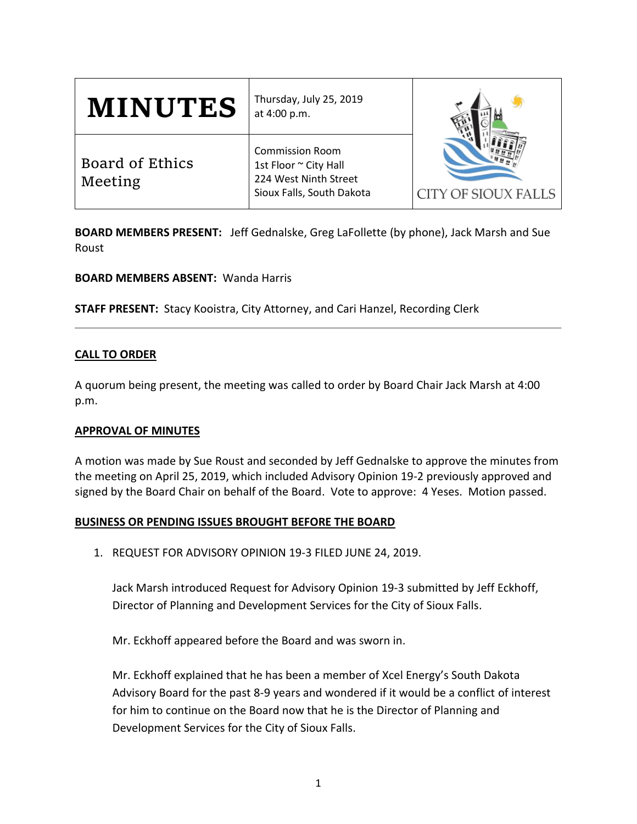| <b>MINUTES</b>             | Thursday, July 25, 2019<br>at 4:00 p.m.                                                               | <b>CITY OF SIOUX FALLS</b> |
|----------------------------|-------------------------------------------------------------------------------------------------------|----------------------------|
| Board of Ethics<br>Meeting | <b>Commission Room</b><br>1st Floor ~ City Hall<br>224 West Ninth Street<br>Sioux Falls, South Dakota |                            |

**BOARD MEMBERS PRESENT:** Jeff Gednalske, Greg LaFollette (by phone), Jack Marsh and Sue Roust

**BOARD MEMBERS ABSENT:** Wanda Harris

**STAFF PRESENT:** Stacy Kooistra, City Attorney, and Cari Hanzel, Recording Clerk

## **CALL TO ORDER**

A quorum being present, the meeting was called to order by Board Chair Jack Marsh at 4:00 p.m.

## **APPROVAL OF MINUTES**

A motion was made by Sue Roust and seconded by Jeff Gednalske to approve the minutes from the meeting on April 25, 2019, which included Advisory Opinion 19-2 previously approved and signed by the Board Chair on behalf of the Board. Vote to approve: 4 Yeses. Motion passed.

## **BUSINESS OR PENDING ISSUES BROUGHT BEFORE THE BOARD**

1. REQUEST FOR ADVISORY OPINION 19-3 FILED JUNE 24, 2019.

Jack Marsh introduced Request for Advisory Opinion 19-3 submitted by Jeff Eckhoff, Director of Planning and Development Services for the City of Sioux Falls.

Mr. Eckhoff appeared before the Board and was sworn in.

Mr. Eckhoff explained that he has been a member of Xcel Energy's South Dakota Advisory Board for the past 8-9 years and wondered if it would be a conflict of interest for him to continue on the Board now that he is the Director of Planning and Development Services for the City of Sioux Falls.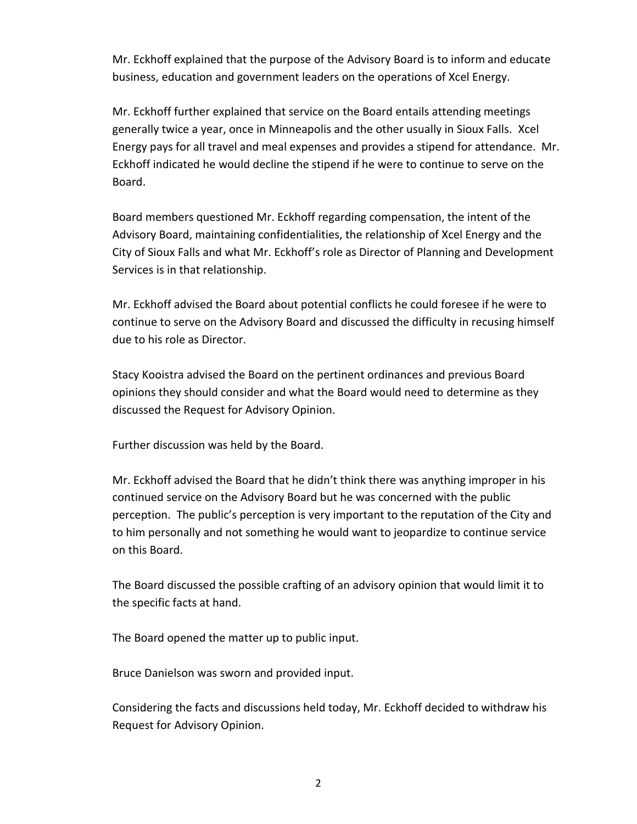Mr. Eckhoff explained that the purpose of the Advisory Board is to inform and educate business, education and government leaders on the operations of Xcel Energy.

Mr. Eckhoff further explained that service on the Board entails attending meetings generally twice a year, once in Minneapolis and the other usually in Sioux Falls. Xcel Energy pays for all travel and meal expenses and provides a stipend for attendance. Mr. Eckhoff indicated he would decline the stipend if he were to continue to serve on the Board.

Board members questioned Mr. Eckhoff regarding compensation, the intent of the Advisory Board, maintaining confidentialities, the relationship of Xcel Energy and the City of Sioux Falls and what Mr. Eckhoff's role as Director of Planning and Development Services is in that relationship.

Mr. Eckhoff advised the Board about potential conflicts he could foresee if he were to continue to serve on the Advisory Board and discussed the difficulty in recusing himself due to his role as Director.

Stacy Kooistra advised the Board on the pertinent ordinances and previous Board opinions they should consider and what the Board would need to determine as they discussed the Request for Advisory Opinion.

Further discussion was held by the Board.

Mr. Eckhoff advised the Board that he didn't think there was anything improper in his continued service on the Advisory Board but he was concerned with the public perception. The public's perception is very important to the reputation of the City and to him personally and not something he would want to jeopardize to continue service on this Board.

The Board discussed the possible crafting of an advisory opinion that would limit it to the specific facts at hand.

The Board opened the matter up to public input.

Bruce Danielson was sworn and provided input.

Considering the facts and discussions held today, Mr. Eckhoff decided to withdraw his Request for Advisory Opinion.